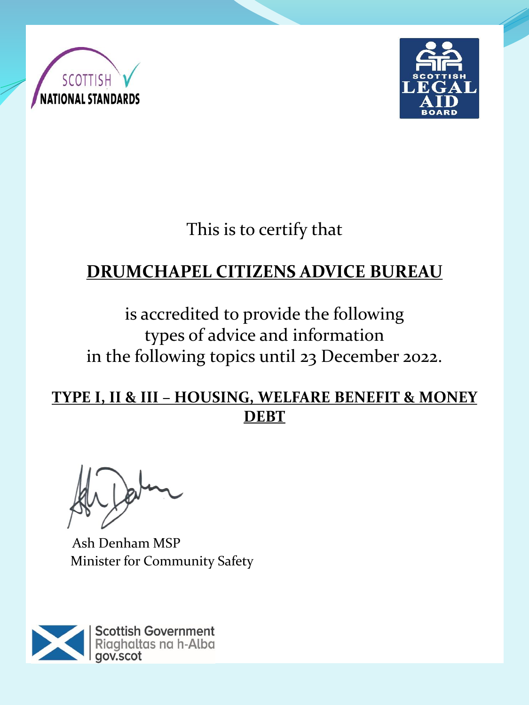



This is to certify that

## **DRUMCHAPEL CITIZENS ADVICE BUREAU**

is accredited to provide the following types of advice and information in the following topics until 23 December 2022.

**TYPE I, II & III – HOUSING, WELFARE BENEFIT & MONEY DEBT**

Ash Denham MSP Minister for Community Safety

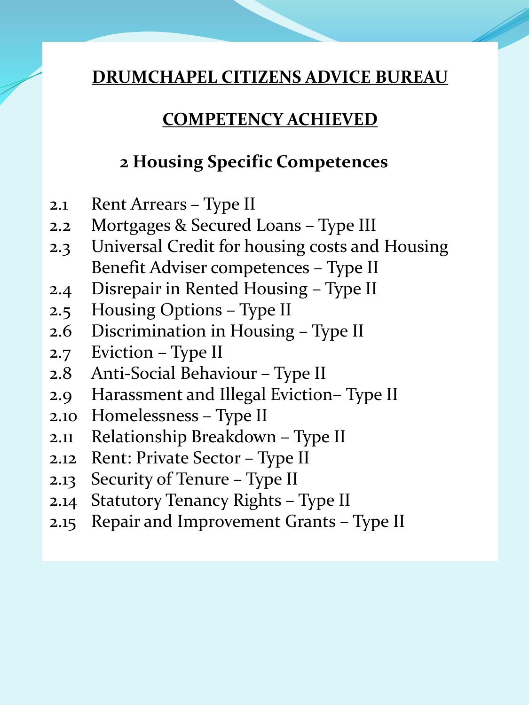#### **COMPETENCY ACHIEVED**

#### **2 Housing Specific Competences**

- 2.1 Rent Arrears Type II
- 2.2 Mortgages & Secured Loans Type III
- 2.3 Universal Credit for housing costs and Housing Benefit Adviser competences – Type II
- 2.4 Disrepair in Rented Housing Type II
- 2.5 Housing Options Type II
- 2.6 Discrimination in Housing Type II
- 2.7 Eviction Type II
- 2.8 Anti-Social Behaviour Type II
- 2.9 Harassment and Illegal Eviction– Type II
- 2.10 Homelessness Type II
- 2.11 Relationship Breakdown Type II
- 2.12 Rent: Private Sector Type II
- 2.13 Security of Tenure Type II
- 2.14 Statutory Tenancy Rights Type II
- 2.15 Repair and Improvement Grants Type II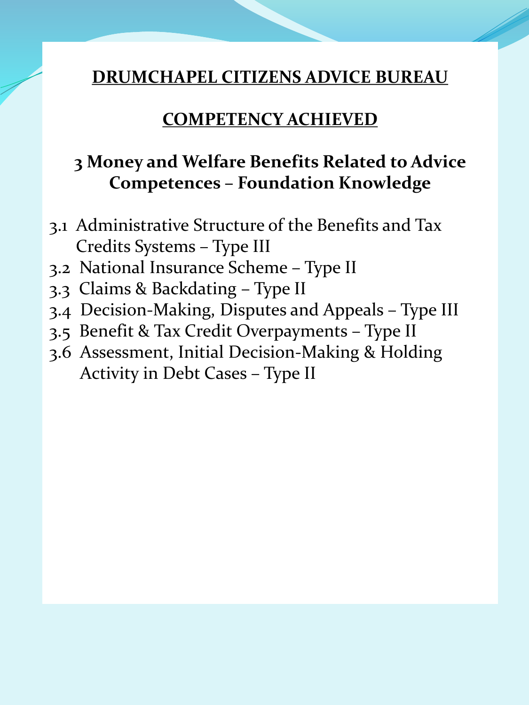#### **COMPETENCY ACHIEVED**

## **3 Money and Welfare Benefits Related to Advice Competences – Foundation Knowledge**

- 3.1 Administrative Structure of the Benefits and Tax Credits Systems – Type III
- 3.2 National Insurance Scheme Type II
- 3.3 Claims & Backdating Type II
- 3.4 Decision-Making, Disputes and Appeals Type III
- 3.5 Benefit & Tax Credit Overpayments Type II
- 3.6 Assessment, Initial Decision-Making & Holding Activity in Debt Cases – Type II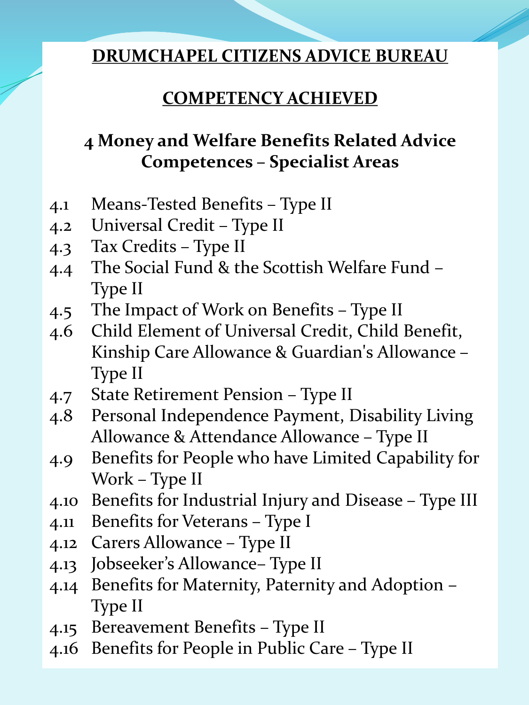## **COMPETENCY ACHIEVED**

## **4 Money and Welfare Benefits Related Advice Competences – Specialist Areas**

- 4.1 Means-Tested Benefits Type II
- 4.2 Universal Credit Type II
- 4.3 Tax Credits Type II
- 4.4 The Social Fund & the Scottish Welfare Fund Type II
- 4.5 The Impact of Work on Benefits Type II
- 4.6 Child Element of Universal Credit, Child Benefit, Kinship Care Allowance & Guardian's Allowance – Type II
- 4.7 State Retirement Pension Type II
- 4.8 Personal Independence Payment, Disability Living Allowance & Attendance Allowance – Type II
- 4.9 Benefits for People who have Limited Capability for Work – Type II
- 4.10 Benefits for Industrial Injury and Disease Type III
- 4.11 Benefits for Veterans Type I
- 4.12 Carers Allowance Type II
- 4.13 Jobseeker's Allowance– Type II
- 4.14 Benefits for Maternity, Paternity and Adoption Type II
- 4.15 Bereavement Benefits Type II
- 4.16 Benefits for People in Public Care Type II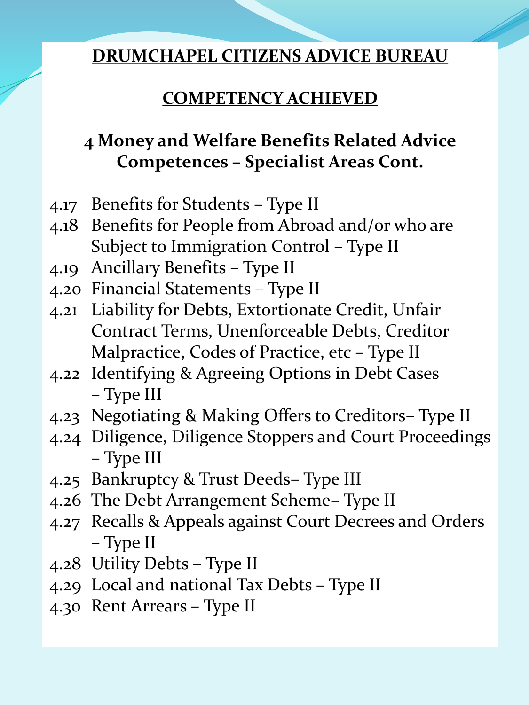## **COMPETENCY ACHIEVED**

## **4 Money and Welfare Benefits Related Advice Competences – Specialist Areas Cont.**

- 4.17 Benefits for Students Type II
- 4.18 Benefits for People from Abroad and/or who are Subject to Immigration Control – Type II
- 4.19 Ancillary Benefits Type II
- 4.20 Financial Statements Type II
- 4.21 Liability for Debts, Extortionate Credit, Unfair Contract Terms, Unenforceable Debts, Creditor Malpractice, Codes of Practice, etc – Type II
- 4.22 Identifying & Agreeing Options in Debt Cases – Type III
- 4.23 Negotiating & Making Offers to Creditors– Type II
- 4.24 Diligence, Diligence Stoppers and Court Proceedings – Type III
- 4.25 Bankruptcy & Trust Deeds– Type III
- 4.26 The Debt Arrangement Scheme– Type II
- 4.27 Recalls & Appeals against Court Decrees and Orders – Type II
- 4.28 Utility Debts Type II
- 4.29 Local and national Tax Debts Type II
- 4.30 Rent Arrears Type II